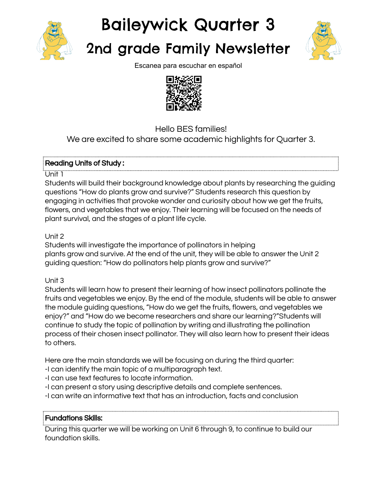

# Baileywick Quarter 3

# 2nd grade Family Newsletter



Escanea para escuchar en español



Hello BES families!

We are excited to share some academic highlights for Quarter 3.

# Reading Units of Study :

#### Unit 1

Students will build their background knowledge about plants by researching the guiding questions "How do plants grow and survive?" Students research this question by engaging in activities that provoke wonder and curiosity about how we get the fruits, flowers, and vegetables that we enjoy. Their learning will be focused on the needs of plant survival, and the stages of a plant life cycle.

# Unit 2

Students will investigate the importance of pollinators in helping plants grow and survive. At the end of the unit, they will be able to answer the Unit 2 guiding question: "How do pollinators help plants grow and survive?"

# Unit 3

Students will learn how to present their learning of how insect pollinators pollinate the fruits and vegetables we enjoy. By the end of the module, students will be able to answer the module guiding questions, "How do we get the fruits, flowers, and vegetables we enjoy?" and "How do we become researchers and share our learning?"Students will continue to study the topic of pollination by writing and illustrating the pollination process of their chosen insect pollinator. They will also learn how to present their ideas to others.

Here are the main standards we will be focusing on during the third quarter:

- -I can identify the main topic of a multiparagraph text.
- -I can use text features to locate information.
- -I can present a story using descriptive details and complete sentences.
- -I can write an informative text that has an introduction, facts and conclusion

# Fundations Skills:

During this quarter we will be working on Unit 6 through 9, to continue to build our foundation skills.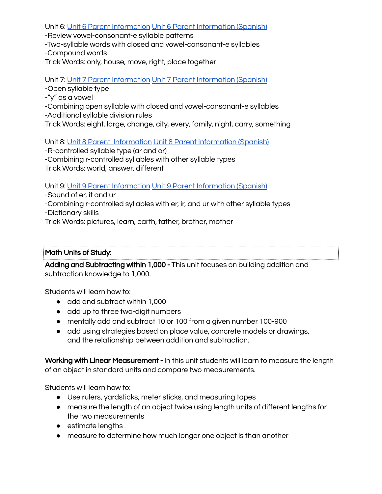Unit 6: Unit 6 Parent [Information](https://drive.google.com/file/d/1cCIM_bshgK9xRZFpoJhJajd6UR1k_K0p/view?usp=sharing) Unit 6 Parent [Information](https://drive.google.com/file/d/1JSu9BeCqLFC6w5pukBmjlQID2wPDXNz9/view?usp=sharing) (Spanish)

-Review vowel-consonant-e syllable patterns

-Two-syllable words with closed and vowel-consonant-e syllables -Compound words

Trick Words: only, house, move, right, place together

Unit 7: Unit 7 Parent [Information](https://drive.google.com/file/d/1_SuJsOvPVD0iHnpJj7964EebZvOqdKjQ/view?usp=sharing) Unit 7 Parent [Information](https://drive.google.com/file/d/1RCLjQeVBP-UyyRBrhMk7bhAw0E5bRkNw/view?usp=sharing) (Spanish)

-Open syllable type

-"y" as a vowel

-Combining open syllable with closed and vowel-consonant-e syllables -Additional syllable division rules

Trick Words: eight, large, change, city, every, family, night, carry, something

Unit 8: Unit 8 Parent [Information](https://drive.google.com/file/d/1vP-87FgOqRNz4WiYQa3Vzw277gtEd7W8/view?usp=sharing) Unit 8 Parent [Information](https://drive.google.com/file/d/1qYstVxbn7T6AEETdRthhZgF69udxFTxN/view?usp=sharing) (Spanish)

-R-controlled syllable type (ar and or) -Combining r-controlled syllables with other syllable types Trick Words: world, answer, different

Unit 9: Unit 9 Parent [Information](https://drive.google.com/file/d/1AjVmibrrQUNVQ3Voei4BW_HSVgbKl-gE/view?usp=sharing) Unit 9 Parent [Information](https://drive.google.com/file/d/15mNovQd98BI1ml1-Pqyij5wJlv06O-It/view?usp=sharing) (Spanish)

-Sound of er, it and ur

-Combining r-controlled syllables with er, ir, and ur with other syllable types

-Dictionary skills

Trick Words: pictures, learn, earth, father, brother, mother

# Math Units of Study:

Adding and Subtracting within 1,000 - This unit focuses on building addition and subtraction knowledge to 1,000.

Students will learn how to:

- add and subtract within 1,000
- add up to three two-digit numbers
- mentally add and subtract 10 or 100 from a given number 100-900
- add using strategies based on place value, concrete models or drawings, and the relationship between addition and subtraction.

Working with Linear Measurement - In this unit students will learn to measure the length of an object in standard units and compare two measurements.

Students will learn how to:

- Use rulers, yardsticks, meter sticks, and measuring tapes
- measure the length of an object twice using length units of different lengths for the two measurements
- estimate lengths
- measure to determine how much longer one object is than another